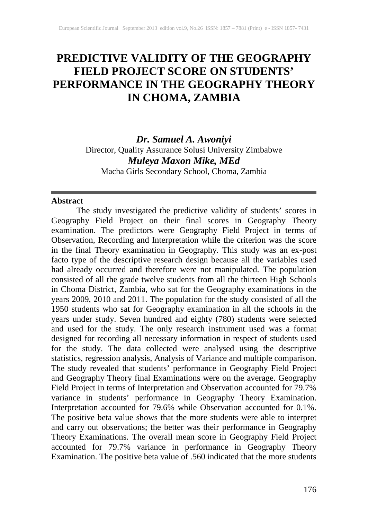# **PREDICTIVE VALIDITY OF THE GEOGRAPHY FIELD PROJECT SCORE ON STUDENTS' PERFORMANCE IN THE GEOGRAPHY THEORY IN CHOMA, ZAMBIA**

*Dr. Samuel A. Awoniyi* Director, Quality Assurance Solusi University Zimbabwe *Muleya Maxon Mike, MEd* Macha Girls Secondary School, Choma, Zambia

#### **Abstract**

The study investigated the predictive validity of students' scores in Geography Field Project on their final scores in Geography Theory examination. The predictors were Geography Field Project in terms of Observation, Recording and Interpretation while the criterion was the score in the final Theory examination in Geography. This study was an ex-post facto type of the descriptive research design because all the variables used had already occurred and therefore were not manipulated. The population consisted of all the grade twelve students from all the thirteen High Schools in Choma District, Zambia, who sat for the Geography examinations in the years 2009, 2010 and 2011. The population for the study consisted of all the 1950 students who sat for Geography examination in all the schools in the years under study. Seven hundred and eighty (780) students were selected and used for the study. The only research instrument used was a format designed for recording all necessary information in respect of students used for the study. The data collected were analysed using the descriptive statistics, regression analysis, Analysis of Variance and multiple comparison. The study revealed that students' performance in Geography Field Project and Geography Theory final Examinations were on the average. Geography Field Project in terms of Interpretation and Observation accounted for 79.7% variance in students' performance in Geography Theory Examination. Interpretation accounted for 79.6% while Observation accounted for 0.1%. The positive beta value shows that the more students were able to interpret and carry out observations; the better was their performance in Geography Theory Examinations. The overall mean score in Geography Field Project accounted for 79.7% variance in performance in Geography Theory Examination. The positive beta value of .560 indicated that the more students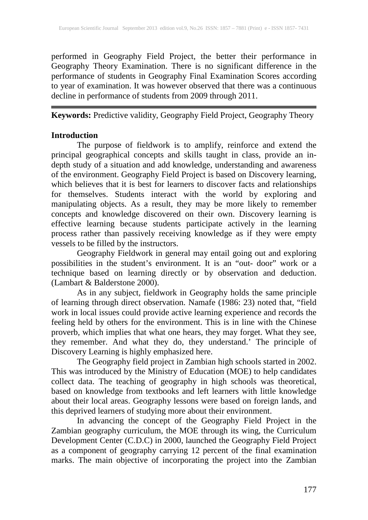performed in Geography Field Project, the better their performance in Geography Theory Examination. There is no significant difference in the performance of students in Geography Final Examination Scores according to year of examination. It was however observed that there was a continuous decline in performance of students from 2009 through 2011.

## **Keywords:** Predictive validity, Geography Field Project, Geography Theory

## **Introduction**

The purpose of fieldwork is to amplify, reinforce and extend the principal geographical concepts and skills taught in class, provide an indepth study of a situation and add knowledge, understanding and awareness of the environment. Geography Field Project is based on Discovery learning, which believes that it is best for learners to discover facts and relationships for themselves. Students interact with the world by exploring and manipulating objects. As a result, they may be more likely to remember concepts and knowledge discovered on their own. Discovery learning is effective learning because students participate actively in the learning process rather than passively receiving knowledge as if they were empty vessels to be filled by the instructors.

Geography Fieldwork in general may entail going out and exploring possibilities in the student's environment. It is an "out- door" work or a technique based on learning directly or by observation and deduction. (Lambart & Balderstone 2000).

As in any subject, fieldwork in Geography holds the same principle of learning through direct observation. Namafe (1986: 23) noted that, "field work in local issues could provide active learning experience and records the feeling held by others for the environment. This is in line with the Chinese proverb, which implies that what one hears, they may forget. What they see, they remember. And what they do, they understand.' The principle of Discovery Learning is highly emphasized here.

The Geography field project in Zambian high schools started in 2002. This was introduced by the Ministry of Education (MOE) to help candidates collect data. The teaching of geography in high schools was theoretical, based on knowledge from textbooks and left learners with little knowledge about their local areas. Geography lessons were based on foreign lands, and this deprived learners of studying more about their environment.

In advancing the concept of the Geography Field Project in the Zambian geography curriculum, the MOE through its wing, the Curriculum Development Center (C.D.C) in 2000, launched the Geography Field Project as a component of geography carrying 12 percent of the final examination marks. The main objective of incorporating the project into the Zambian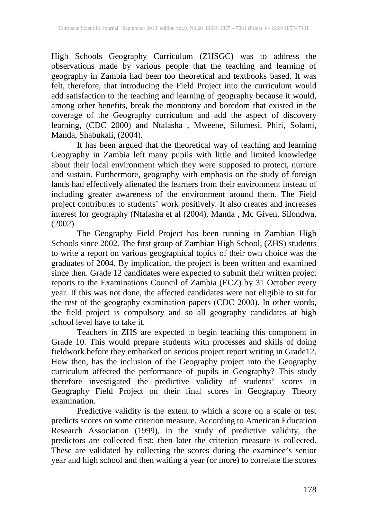High Schools Geography Curriculum (ZHSGC) was to address the observations made by various people that the teaching and learning of geography in Zambia had been too theoretical and textbooks based. It was felt, therefore, that introducing the Field Project into the curriculum would add satisfaction to the teaching and learning of geography because it would, among other benefits, break the monotony and boredom that existed in the coverage of the Geography curriculum and add the aspect of discovery learning, (CDC 2000) and Ntalasha , Mweene, Silumesi, Phiri, Solami, Manda, Shabukali, (2004).

It has been argued that the theoretical way of teaching and learning Geography in Zambia left many pupils with little and limited knowledge about their local environment which they were supposed to protect, nurture and sustain. Furthermore, geography with emphasis on the study of foreign lands had effectively alienated the learners from their environment instead of including greater awareness of the environment around them. The Field project contributes to students' work positively. It also creates and increases interest for geography (Ntalasha et al (2004), Manda , Mc Given, Silondwa, (2002).

The Geography Field Project has been running in Zambian High Schools since 2002. The first group of Zambian High School, (ZHS) students to write a report on various geographical topics of their own choice was the graduates of 2004. By implication, the project is been written and examined since then. Grade 12 candidates were expected to submit their written project reports to the Examinations Council of Zambia (ECZ) by 31 October every year. If this was not done, the affected candidates were not eligible to sit for the rest of the geography examination papers (CDC 2000). In other words, the field project is compulsory and so all geography candidates at high school level have to take it.

Teachers in ZHS are expected to begin teaching this component in Grade 10. This would prepare students with processes and skills of doing fieldwork before they embarked on serious project report writing in Grade12. How then, has the inclusion of the Geography project into the Geography curriculum affected the performance of pupils in Geography? This study therefore investigated the predictive validity of students' scores in Geography Field Project on their final scores in Geography Theory examination.

Predictive validity is the extent to which a score on a scale or test predicts scores on some criterion measure. According to American Education Research Association (1999), in the study of predictive validity, the predictors are collected first; then later the criterion measure is collected. These are validated by collecting the scores during the examinee's senior year and high school and then waiting a year (or more) to correlate the scores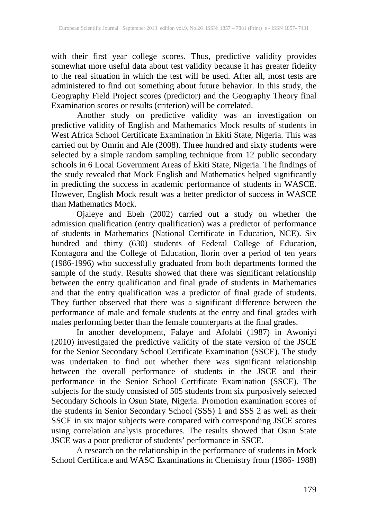with their first year college scores. Thus, predictive validity provides somewhat more useful data about test validity because it has greater fidelity to the real situation in which the test will be used. After all, most tests are administered to find out something about future behavior. In this study, the Geography Field Project scores (predictor) and the Geography Theory final Examination scores or results (criterion) will be correlated.

Another study on predictive validity was an investigation on predictive validity of English and Mathematics Mock results of students in West Africa School Certificate Examination in Ekiti State, Nigeria. This was carried out by Omrin and Ale (2008). Three hundred and sixty students were selected by a simple random sampling technique from 12 public secondary schools in 6 Local Government Areas of Ekiti State, Nigeria. The findings of the study revealed that Mock English and Mathematics helped significantly in predicting the success in academic performance of students in WASCE. However, English Mock result was a better predictor of success in WASCE than Mathematics Mock.

Ojaleye and Ebeh (2002) carried out a study on whether the admission qualification (entry qualification) was a predictor of performance of students in Mathematics (National Certificate in Education, NCE). Six hundred and thirty (630) students of Federal College of Education, Kontagora and the College of Education, Ilorin over a period of ten years (1986-1996) who successfully graduated from both departments formed the sample of the study. Results showed that there was significant relationship between the entry qualification and final grade of students in Mathematics and that the entry qualification was a predictor of final grade of students. They further observed that there was a significant difference between the performance of male and female students at the entry and final grades with males performing better than the female counterparts at the final grades.

In another development, Falaye and Afolabi (1987) in Awoniyi (2010) investigated the predictive validity of the state version of the JSCE for the Senior Secondary School Certificate Examination (SSCE). The study was undertaken to find out whether there was significant relationship between the overall performance of students in the JSCE and their performance in the Senior School Certificate Examination (SSCE). The subjects for the study consisted of 505 students from six purposively selected Secondary Schools in Osun State, Nigeria. Promotion examination scores of the students in Senior Secondary School (SSS) 1 and SSS 2 as well as their SSCE in six major subjects were compared with corresponding JSCE scores using correlation analysis procedures. The results showed that Osun State JSCE was a poor predictor of students' performance in SSCE.

A research on the relationship in the performance of students in Mock School Certificate and WASC Examinations in Chemistry from (1986- 1988)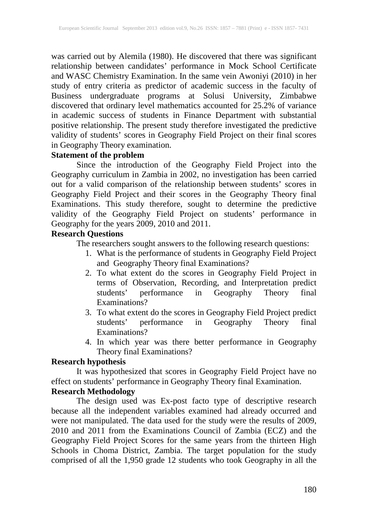was carried out by Alemila (1980). He discovered that there was significant relationship between candidates' performance in Mock School Certificate and WASC Chemistry Examination. In the same vein Awoniyi (2010) in her study of entry criteria as predictor of academic success in the faculty of Business undergraduate programs at Solusi University, Zimbabwe discovered that ordinary level mathematics accounted for 25.2% of variance in academic success of students in Finance Department with substantial positive relationship. The present study therefore investigated the predictive validity of students' scores in Geography Field Project on their final scores in Geography Theory examination.

## **Statement of the problem**

Since the introduction of the Geography Field Project into the Geography curriculum in Zambia in 2002, no investigation has been carried out for a valid comparison of the relationship between students' scores in Geography Field Project and their scores in the Geography Theory final Examinations. This study therefore, sought to determine the predictive validity of the Geography Field Project on students' performance in Geography for the years 2009, 2010 and 2011.

## **Research Questions**

The researchers sought answers to the following research questions:

- 1. What is the performance of students in Geography Field Project and Geography Theory final Examinations?
- 2. To what extent do the scores in Geography Field Project in terms of Observation, Recording, and Interpretation predict students' performance in Geography Theory final Examinations?
- 3. To what extent do the scores in Geography Field Project predict students' performance in Geography Theory final Examinations?
- 4. In which year was there better performance in Geography Theory final Examinations?

## **Research hypothesis**

It was hypothesized that scores in Geography Field Project have no effect on students' performance in Geography Theory final Examination.

## **Research Methodology**

The design used was Ex-post facto type of descriptive research because all the independent variables examined had already occurred and were not manipulated. The data used for the study were the results of 2009, 2010 and 2011 from the Examinations Council of Zambia (ECZ) and the Geography Field Project Scores for the same years from the thirteen High Schools in Choma District, Zambia. The target population for the study comprised of all the 1,950 grade 12 students who took Geography in all the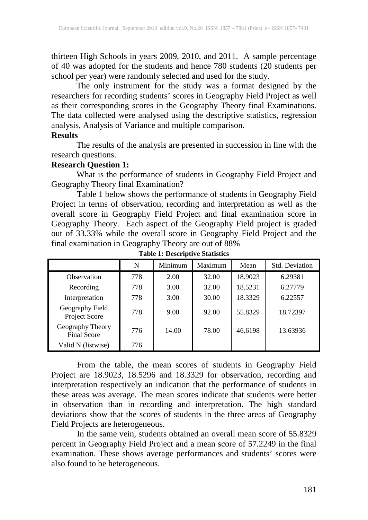thirteen High Schools in years 2009, 2010, and 2011. A sample percentage of 40 was adopted for the students and hence 780 students (20 students per school per year) were randomly selected and used for the study.

The only instrument for the study was a format designed by the researchers for recording students' scores in Geography Field Project as well as their corresponding scores in the Geography Theory final Examinations. The data collected were analysed using the descriptive statistics, regression analysis, Analysis of Variance and multiple comparison.

### **Results**

The results of the analysis are presented in succession in line with the research questions.

## **Research Question 1:**

What is the performance of students in Geography Field Project and Geography Theory final Examination?

Table 1 below shows the performance of students in Geography Field Project in terms of observation, recording and interpretation as well as the overall score in Geography Field Project and final examination score in Geography Theory. Each aspect of the Geography Field project is graded out of 33.33% while the overall score in Geography Field Project and the final examination in Geography Theory are out of 88%

|                                        | N   | Minimum | Maximum | Mean    | <b>Std. Deviation</b> |
|----------------------------------------|-----|---------|---------|---------|-----------------------|
| <b>Observation</b>                     | 778 | 2.00    | 32.00   | 18.9023 | 6.29381               |
| Recording                              | 778 | 3.00    | 32.00   | 18.5231 | 6.27779               |
| Interpretation                         | 778 | 3.00    | 30.00   | 18.3329 | 6.22557               |
| Geography Field<br>Project Score       | 778 | 9.00    | 92.00   | 55.8329 | 18.72397              |
| Geography Theory<br><b>Final Score</b> | 776 | 14.00   | 78.00   | 46.6198 | 13.63936              |
| Valid N (listwise)                     | 776 |         |         |         |                       |

**Table 1: Descriptive Statistics**

From the table, the mean scores of students in Geography Field Project are 18.9023, 18.5296 and 18.3329 for observation, recording and interpretation respectively an indication that the performance of students in these areas was average. The mean scores indicate that students were better in observation than in recording and interpretation. The high standard deviations show that the scores of students in the three areas of Geography Field Projects are heterogeneous.

In the same vein, students obtained an overall mean score of 55.8329 percent in Geography Field Project and a mean score of 57.2249 in the final examination. These shows average performances and students' scores were also found to be heterogeneous.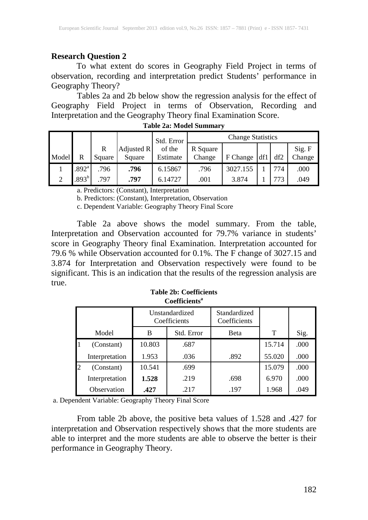## **Research Question 2**

To what extent do scores in Geography Field Project in terms of observation, recording and interpretation predict Students' performance in Geography Theory?

Tables 2a and 2b below show the regression analysis for the effect of Geography Field Project in terms of Observation, Recording and Interpretation and the Geography Theory final Examination Score.

|          |                   |             |                      | Std. Error         | <b>Change Statistics</b> |          |               |     |                  |
|----------|-------------------|-------------|----------------------|--------------------|--------------------------|----------|---------------|-----|------------------|
| Model    | R                 | R<br>Square | Adjusted R<br>Square | of the<br>Estimate | R Square<br>Change       | F Change | $\mathbf{df}$ | df2 | Sig. F<br>Change |
|          | .892 <sup>a</sup> | .796        | .796                 | 6.15867            | .796                     | 3027.155 |               | 774 | .000             |
| $\gamma$ | $.893^{\rm b}$    | 797         | .797                 | 6.14727            | .001                     | 3.874    |               | 773 | .049             |

**Table 2a: Model Summary**

a. Predictors: (Constant), Interpretation

b. Predictors: (Constant), Interpretation, Observation

c. Dependent Variable: Geography Theory Final Score

Table 2a above shows the model summary. From the table, Interpretation and Observation accounted for 79.7% variance in students' score in Geography Theory final Examination. Interpretation accounted for 79.6 % while Observation accounted for 0.1%. The F change of 3027.15 and 3.874 for Interpretation and Observation respectively were found to be significant. This is an indication that the results of the regression analysis are true.

| Coefficients <sup>a</sup> |                                |            |                              |        |      |  |  |  |
|---------------------------|--------------------------------|------------|------------------------------|--------|------|--|--|--|
|                           | Unstandardized<br>Coefficients |            | Standardized<br>Coefficients |        |      |  |  |  |
| Model                     | B                              | Std. Error | Beta                         | T      | Sig. |  |  |  |
| (Constant)                | 10.803                         | .687       |                              | 15.714 | .000 |  |  |  |
| Interpretation            | 1.953                          | .036       | .892                         | 55.020 | .000 |  |  |  |
| (Constant)                | 10.541                         | .699       |                              | 15.079 | .000 |  |  |  |
| Interpretation            | 1.528                          | .219       | .698                         | 6.970  | .000 |  |  |  |
| Observation               | .427                           | .217       | .197                         | 1.968  | .049 |  |  |  |

**Table 2b: Coefficients** Coefficients<sup>a</sup>

a. Dependent Variable: Geography Theory Final Score

From table 2b above, the positive beta values of 1.528 and .427 for interpretation and Observation respectively shows that the more students are able to interpret and the more students are able to observe the better is their performance in Geography Theory.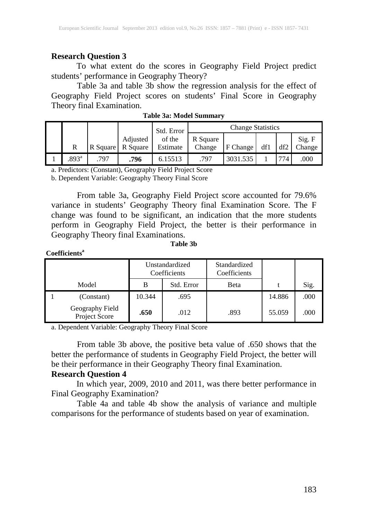## **Research Question 3**

To what extent do the scores in Geography Field Project predict students' performance in Geography Theory?

Table 3a and table 3b show the regression analysis for the effect of Geography Field Project scores on students' Final Score in Geography Theory final Examination.

|                     |          |                      | Std. Error         | <b>Change Statistics</b> |          |     |     |                             |
|---------------------|----------|----------------------|--------------------|--------------------------|----------|-----|-----|-----------------------------|
| R                   | R Square | Adjusted<br>R Square | of the<br>Estimate | R Square<br>Change       | F Change | df1 | df2 | $\mathrm{Sig.}$ F<br>Change |
| $.893$ <sup>a</sup> | .797     | .796                 | 6.15513            | .797                     | 3031.535 |     | 774 | .000                        |

**Table 3a: Model Summary**

a. Predictors: (Constant), Geography Field Project Score

b. Dependent Variable: Geography Theory Final Score

From table 3a, Geography Field Project score accounted for 79.6% variance in students' Geography Theory final Examination Score. The F change was found to be significant, an indication that the more students perform in Geography Field Project, the better is their performance in Geography Theory final Examinations.

#### **Table 3b**

### **Coefficientsa**

|                                  | Unstandardized<br>Coefficients |            | Standardized<br>Coefficients |        |      |
|----------------------------------|--------------------------------|------------|------------------------------|--------|------|
| Model                            | B                              | Std. Error | Beta                         |        | Sig. |
| (Constant)                       | 10.344                         | .695       |                              | 14.886 | .000 |
| Geography Field<br>Project Score | .650                           | .012       | .893                         | 55.059 | .000 |

a. Dependent Variable: Geography Theory Final Score

From table 3b above, the positive beta value of .650 shows that the better the performance of students in Geography Field Project, the better will be their performance in their Geography Theory final Examination.

## **Research Question 4**

In which year, 2009, 2010 and 2011, was there better performance in Final Geography Examination?

Table 4a and table 4b show the analysis of variance and multiple comparisons for the performance of students based on year of examination.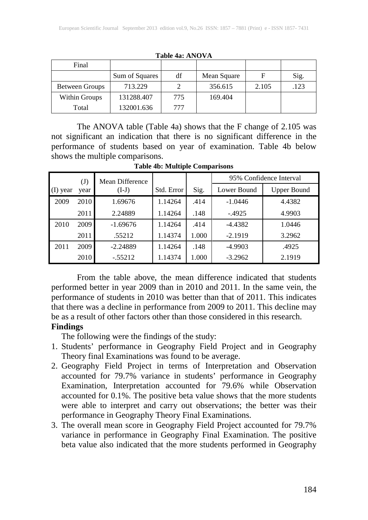| Final          |                |     |             |       |      |
|----------------|----------------|-----|-------------|-------|------|
|                | Sum of Squares | df  | Mean Square | F     | Sig. |
| Between Groups | 713.229        |     | 356.615     | 2.105 | .123 |
| Within Groups  | 131288.407     | 775 | 169.404     |       |      |
| Total          | 132001.636     | 777 |             |       |      |

**Table 4a: ANOVA**

The ANOVA table (Table 4a) shows that the F change of 2.105 was not significant an indication that there is no significant difference in the performance of students based on year of examination. Table 4b below shows the multiple comparisons.

**Table 4b: Multiple Comparisons**

|            | $\mathrm{(J)}$ | Mean Difference |            |       | 95% Confidence Interval |                    |  |  |
|------------|----------------|-----------------|------------|-------|-------------------------|--------------------|--|--|
| $(I)$ year | year           | $(I-J)$         | Std. Error | Sig.  | Lower Bound             | <b>Upper Bound</b> |  |  |
| 2009       | 2010           | 1.69676         | 1.14264    | .414  | $-1.0446$               | 4.4382             |  |  |
|            | 2011           | 2.24889         | 1.14264    | .148  | $-.4925$                | 4.9903             |  |  |
| 2010       | 2009           | $-1.69676$      | 1.14264    | .414  | $-4.4382$               | 1.0446             |  |  |
|            | 2011           | .55212          | 1.14374    | 1.000 | $-2.1919$               | 3.2962             |  |  |
| 2011       | 2009           | $-2.24889$      | 1.14264    | .148  | $-4.9903$               | .4925              |  |  |
|            | 2010           | $-.55212$       | 1.14374    | 1.000 | $-3.2962$               | 2.1919             |  |  |

From the table above, the mean difference indicated that students performed better in year 2009 than in 2010 and 2011. In the same vein, the performance of students in 2010 was better than that of 2011. This indicates that there was a decline in performance from 2009 to 2011. This decline may be as a result of other factors other than those considered in this research.

## **Findings**

The following were the findings of the study:

- 1. Students' performance in Geography Field Project and in Geography Theory final Examinations was found to be average.
- 2. Geography Field Project in terms of Interpretation and Observation accounted for 79.7% variance in students' performance in Geography Examination, Interpretation accounted for 79.6% while Observation accounted for 0.1%. The positive beta value shows that the more students were able to interpret and carry out observations; the better was their performance in Geography Theory Final Examinations.
- 3. The overall mean score in Geography Field Project accounted for 79.7% variance in performance in Geography Final Examination. The positive beta value also indicated that the more students performed in Geography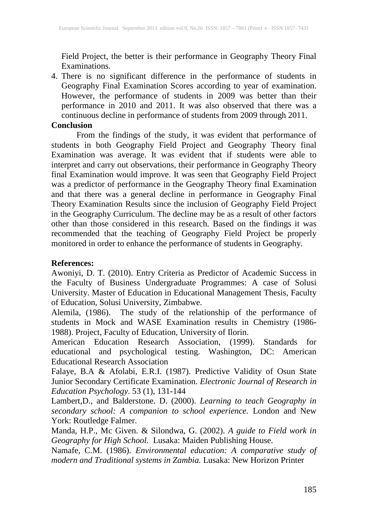Field Project, the better is their performance in Geography Theory Final Examinations.

4. There is no significant difference in the performance of students in Geography Final Examination Scores according to year of examination. However, the performance of students in 2009 was better than their performance in 2010 and 2011. It was also observed that there was a continuous decline in performance of students from 2009 through 2011.

### **Conclusion**

From the findings of the study, it was evident that performance of students in both Geography Field Project and Geography Theory final Examination was average. It was evident that if students were able to interpret and carry out observations, their performance in Geography Theory final Examination would improve. It was seen that Geography Field Project was a predictor of performance in the Geography Theory final Examination and that there was a general decline in performance in Geography Final Theory Examination Results since the inclusion of Geography Field Project in the Geography Curriculum. The decline may be as a result of other factors other than those considered in this research. Based on the findings it was recommended that the teaching of Geography Field Project be properly monitored in order to enhance the performance of students in Geography.

## **References:**

Awoniyi, D. T. (2010). Entry Criteria as Predictor of Academic Success in the Faculty of Business Undergraduate Programmes: A case of Solusi University. Master of Education in Educational Management Thesis, Faculty of Education, Solusi University, Zimbabwe.

Alemila, (1986). The study of the relationship of the performance of students in Mock and WASE Examination results in Chemistry (1986- 1988). Project, Faculty of Education, University of Ilorin.

American Education Research Association, (1999). Standards for educational and psychological testing. Washington, DC: American Educational Research Association

Falaye, B.A & Afolabi, E.R.I. (1987). Predictive Validity of Osun State Junior Secondary Certificate Examination. *Electronic Journal of Research in Education Psychology*. 53 (1), 131-144

Lambert,D., and Balderstone. D. (2000). *Learning to teach Geography in secondary school: A companion to school experience.* London and New York: Routledge Falmer.

Manda, H.P., Mc Given. & Silondwa, G. (2002). *A guide to Field work in Geography for High School.* Lusaka: Maiden Publishing House.

Namafe, C.M. (1986). *Environmental education: A comparative study of modern and Traditional systems in Zambia.* Lusaka: New Horizon Printer